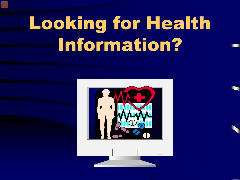# Looking for Health Information?

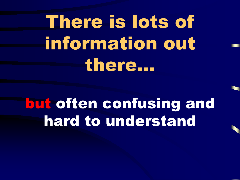# There is lots of information out there…

### but often confusing and hard to understand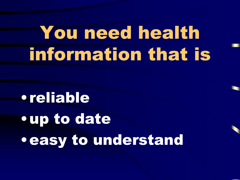# You need health information that is

•reliable •up to date •easy to understand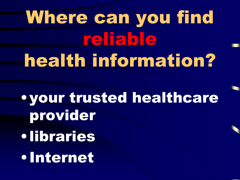# Where can you find reliable health information?

•your trusted healthcare provider •libraries •Internet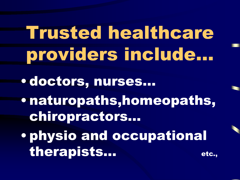Trusted healthcare providers include…

• doctors, nurses…

• naturopaths,homeopaths, chiropractors…

• physio and occupational therapists... etc.,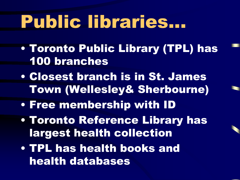## Public libraries...

- Toronto Public Library (TPL) has 100 branches
- Closest branch is in St. James Town (Wellesley& Sherbourne)
- Free membership with ID
- Toronto Reference Library has largest health collection
- TPL has health books and health databases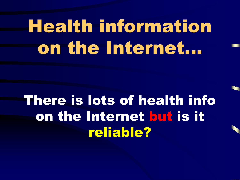# Health information on the Internet…

There is lots of health info on the Internet but is it reliable?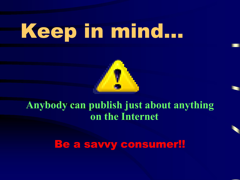# Keep in mind…



**Anybody can publish just about anything on the Internet**

Be a savvy consumer!!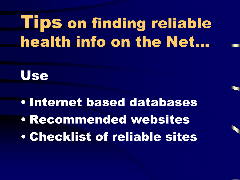### Tips on finding reliable health info on the Net…



• Internet based databases • Recommended websites • Checklist of reliable sites

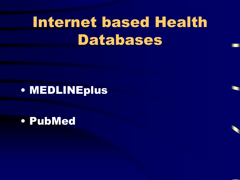### Internet based Health Databases

#### • MEDLINEplus

• PubMed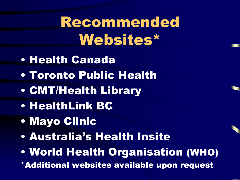### Recommended Websites\*

- Health Canada
- Toronto Public Health
- CMT/Health Library
- HealthLink BC
- Mayo Clinic
- Australia's Health Insite
- World Health Organisation (WHO)
- \*Additional websites available upon request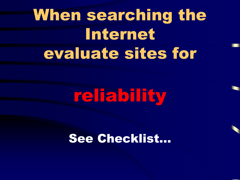### When searching the Internet evaluate sites for

## reliability

See Checklist…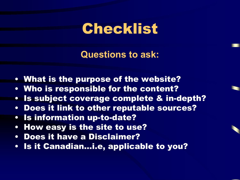**Questions to ask:**

- What is the purpose of the website?
- Who is responsible for the content?
- Is subject coverage complete & in-depth?
- Does it link to other reputable sources?
- Is information up-to-date?
- How easy is the site to use?
- Does it have a Disclaimer?
- Is it Canadian…i.e, applicable to you?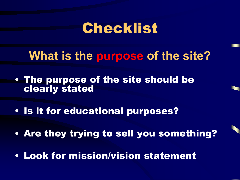**What is the purpose of the site?**

- The purpose of the site should be clearly stated
- Is it for educational purposes?
- Are they trying to sell you something?
- Look for mission/vision statement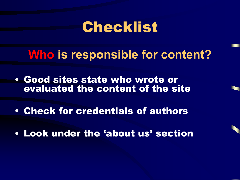**Who is responsible for content?**

- Good sites state who wrote or evaluated the content of the site
- Check for credentials of authors
- Look under the 'about us' section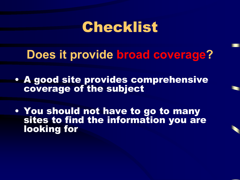**Does it provide broad coverage?**

- A good site provides comprehensive coverage of the subject
- You should not have to go to many sites to find the information you are looking for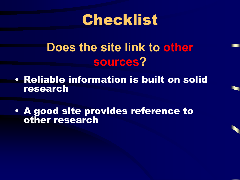

#### **Does the site link to other sources?**

- Reliable information is built on solid research
- A good site provides reference to other research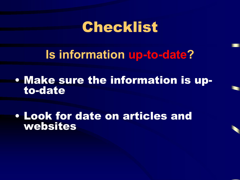**Is information up-to-date?** 

• Make sure the information is upto-date

• Look for date on articles and websites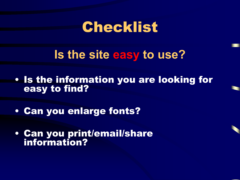**Is the site easy to use?**

- Is the information you are looking for easy to find?
- Can you enlarge fonts?
- Can you print/email/share information?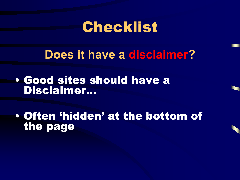**Does it have a disclaimer?**

• Good sites should have a Disclaimer…

• Often 'hidden' at the bottom of the page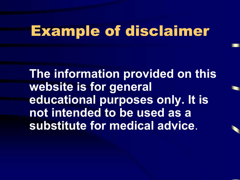### Example of disclaimer

**The information provided on this website is for general educational purposes only. It is not intended to be used as a substitute for medical advice**.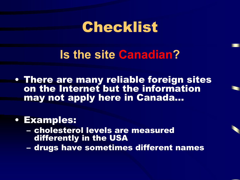**Is the site Canadian?** 

• There are many reliable foreign sites on the Internet but the information may not apply here in Canada…

#### • Examples:

- cholesterol levels are measured differently in the USA
- drugs have sometimes different names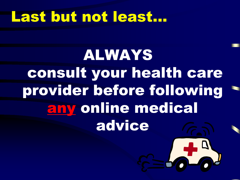#### Last but not least...

ALWAYS consult your health care provider before following any online medical advice